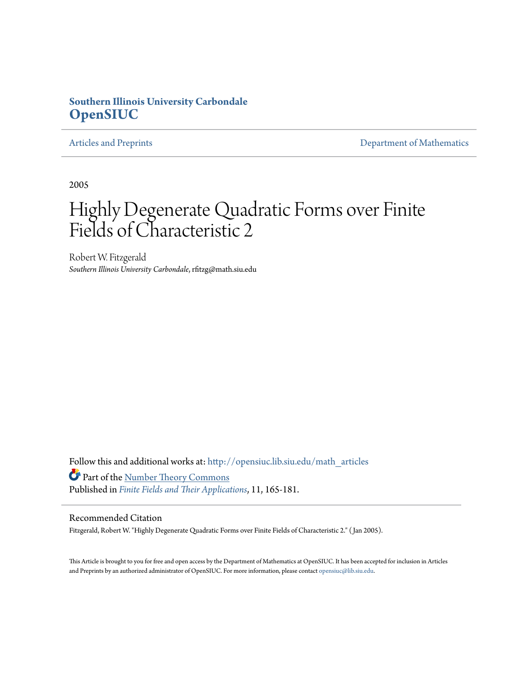## **Southern Illinois University Carbondale [OpenSIUC](http://opensiuc.lib.siu.edu?utm_source=opensiuc.lib.siu.edu%2Fmath_articles%2F24&utm_medium=PDF&utm_campaign=PDFCoverPages)**

[Articles and Preprints](http://opensiuc.lib.siu.edu/math_articles?utm_source=opensiuc.lib.siu.edu%2Fmath_articles%2F24&utm_medium=PDF&utm_campaign=PDFCoverPages) **[Department of Mathematics](http://opensiuc.lib.siu.edu/math?utm_source=opensiuc.lib.siu.edu%2Fmath_articles%2F24&utm_medium=PDF&utm_campaign=PDFCoverPages)** 

2005

# Highly Degenerate Quadratic Forms over Finite Fields of Characteristic 2

Robert W. Fitzgerald *Southern Illinois University Carbondale*, rfitzg@math.siu.edu

Follow this and additional works at: [http://opensiuc.lib.siu.edu/math\\_articles](http://opensiuc.lib.siu.edu/math_articles?utm_source=opensiuc.lib.siu.edu%2Fmath_articles%2F24&utm_medium=PDF&utm_campaign=PDFCoverPages) Part of the [Number Theory Commons](http://network.bepress.com/hgg/discipline/183?utm_source=opensiuc.lib.siu.edu%2Fmath_articles%2F24&utm_medium=PDF&utm_campaign=PDFCoverPages) Published in *[Finite Fields and Their Applications](http://www.elsevier.com/wps/find/journaldescription.cws_home/622831/description#description)*, 11, 165-181.

#### Recommended Citation

Fitzgerald, Robert W. "Highly Degenerate Quadratic Forms over Finite Fields of Characteristic 2." ( Jan 2005).

This Article is brought to you for free and open access by the Department of Mathematics at OpenSIUC. It has been accepted for inclusion in Articles and Preprints by an authorized administrator of OpenSIUC. For more information, please contact [opensiuc@lib.siu.edu](mailto:opensiuc@lib.siu.edu).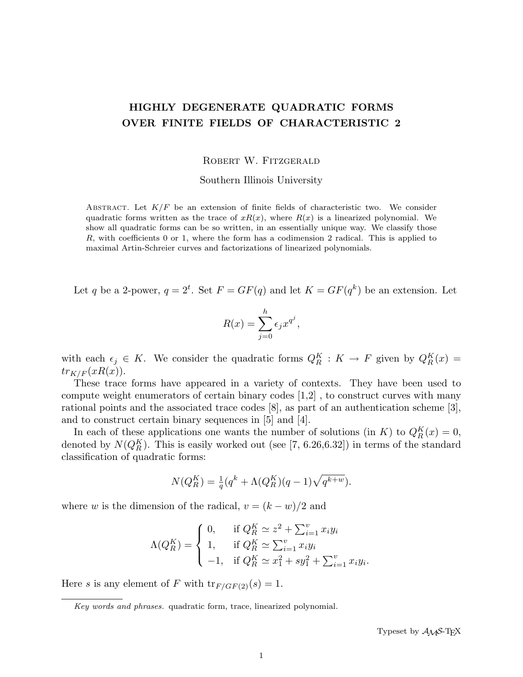## HIGHLY DEGENERATE QUADRATIC FORMS OVER FINITE FIELDS OF CHARACTERISTIC 2

#### ROBERT W. FITZGERALD

Southern Illinois University

ABSTRACT. Let  $K/F$  be an extension of finite fields of characteristic two. We consider quadratic forms written as the trace of  $xR(x)$ , where  $R(x)$  is a linearized polynomial. We show all quadratic forms can be so written, in an essentially unique way. We classify those R, with coefficients 0 or 1, where the form has a codimension 2 radical. This is applied to maximal Artin-Schreier curves and factorizations of linearized polynomials.

Let q be a 2-power,  $q = 2^t$ . Set  $F = GF(q)$  and let  $K = GF(q^k)$  be an extension. Let

$$
R(x) = \sum_{j=0}^{h} \epsilon_j x^{q^j},
$$

with each  $\epsilon_j \in K$ . We consider the quadratic forms  $Q_R^K : K \to F$  given by  $Q_R^K(x) =$  $tr_{K/F}(xR(x)).$ 

These trace forms have appeared in a variety of contexts. They have been used to compute weight enumerators of certain binary codes [1,2] , to construct curves with many rational points and the associated trace codes [8], as part of an authentication scheme [3], and to construct certain binary sequences in [5] and [4].

In each of these applications one wants the number of solutions (in K) to  $Q_R^K(x) = 0$ , denoted by  $N(Q_R^K)$ . This is easily worked out (see [7, 6.26,6.32]) in terms of the standard classification of quadratic forms:

$$
N(Q_R^K) = \frac{1}{q}(q^k + \Lambda(Q_R^K)(q-1)\sqrt{q^{k+w}}).
$$

where w is the dimension of the radical,  $v = (k - w)/2$  and

$$
\Lambda(Q_R^K) = \begin{cases} 0, & \text{if } Q_R^K \simeq z^2 + \sum_{i=1}^v x_i y_i \\ 1, & \text{if } Q_R^K \simeq \sum_{i=1}^v x_i y_i \\ -1, & \text{if } Q_R^K \simeq x_1^2 + s y_1^2 + \sum_{i=1}^v x_i y_i. \end{cases}
$$

Here s is any element of F with  $tr_{F/GF(2)}(s) = 1$ .

Key words and phrases. quadratic form, trace, linearized polynomial.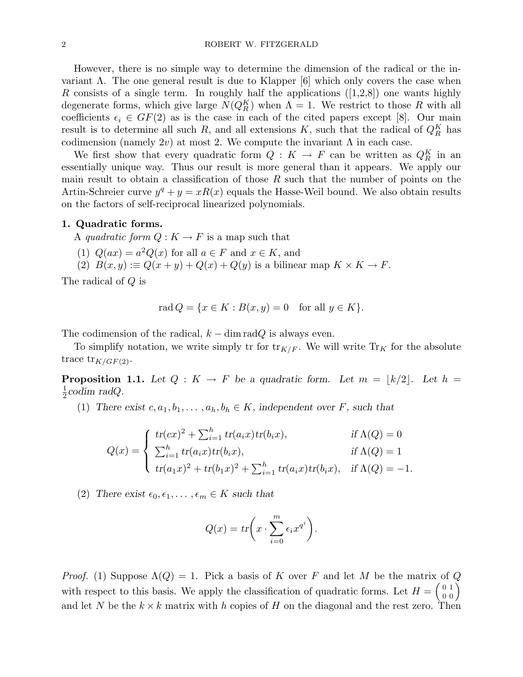However, there is no simple way to determine the dimension of the radical or the invariant  $\Lambda$ . The one general result is due to Klapper [6] which only covers the case when R consists of a single term. In roughly half the applications  $([1,2,8])$  one wants highly degenerate forms, which give large  $N(Q_R^K)$  when  $\Lambda = 1$ . We restrict to those R with all coefficients  $\epsilon_i \in GF(2)$  as is the case in each of the cited papers except [8]. Our main result is to determine all such R, and all extensions K, such that the radical of  $Q_K^K$  has codimension (namely 2v) at most 2. We compute the invariant  $\Lambda$  in each case.

We first show that every quadratic form  $Q: K \to F$  can be written as  $Q_R^K$  in an essentially unique way. Thus our result is more general than it appears. We apply our main result to obtain a classification of those  $R$  such that the number of points on the Artin-Schreier curve  $y^q + y = xR(x)$  equals the Hasse-Weil bound. We also obtain results on the factors of self-reciprocal linearized polynomials.

#### 1. Quadratic forms.

A quadratic form  $Q: K \to F$  is a map such that

- (1)  $Q(ax) = a^2Q(x)$  for all  $a \in F$  and  $x \in K$ , and
- (2)  $B(x, y) := Q(x + y) + Q(x) + Q(y)$  is a bilinear map  $K \times K \to F$ .

The radical of Q is

$$
rad Q = \{ x \in K : B(x, y) = 0 \text{ for all } y \in K \}.
$$

The codimension of the radical,  $k - \dim \mathrm{rad}Q$  is always even.

To simplify notation, we write simply tr for  ${\rm tr}_{K/F}$ . We will write  ${\rm Tr}_K$  for the absolute trace  $tr_{K/GF(2)}$ .

**Proposition 1.1.** Let  $Q: K \to F$  be a quadratic form. Let  $m = \lfloor k/2 \rfloor$ . Let  $h =$ 1  $\frac{1}{2}$ codim radQ.

(1) There exist  $c, a_1, b_1, \ldots, a_h, b_h \in K$ , independent over F, such that

$$
Q(x) = \begin{cases} tr(cx)^2 + \sum_{i=1}^h tr(a_i x) tr(b_i x), & \text{if } \Lambda(Q) = 0\\ \sum_{i=1}^h tr(a_i x) tr(b_i x), & \text{if } \Lambda(Q) = 1\\ tr(a_1 x)^2 + tr(b_1 x)^2 + \sum_{i=1}^h tr(a_i x) tr(b_i x), & \text{if } \Lambda(Q) = -1. \end{cases}
$$

(2) There exist  $\epsilon_0, \epsilon_1, \ldots, \epsilon_m \in K$  such that

$$
Q(x) = tr\bigg(x \cdot \sum_{i=0}^{m} \epsilon_i x^{q^i}\bigg).
$$

*Proof.* (1) Suppose  $\Lambda(Q) = 1$ . Pick a basis of K over F and let M be the matrix of Q with respect to this basis. We apply the classification of quadratic forms. Let  $H = \begin{pmatrix} 0 & 1 \\ 0 & 0 \end{pmatrix}$  $\begin{smallmatrix} 0&1\0&0\0&0 \end{smallmatrix}\hspace{-0.2cm}\left.\begin{smallmatrix} 0 \end{smallmatrix}\right)$ and let N be the  $k \times k$  matrix with h copies of H on the diagonal and the rest zero. Then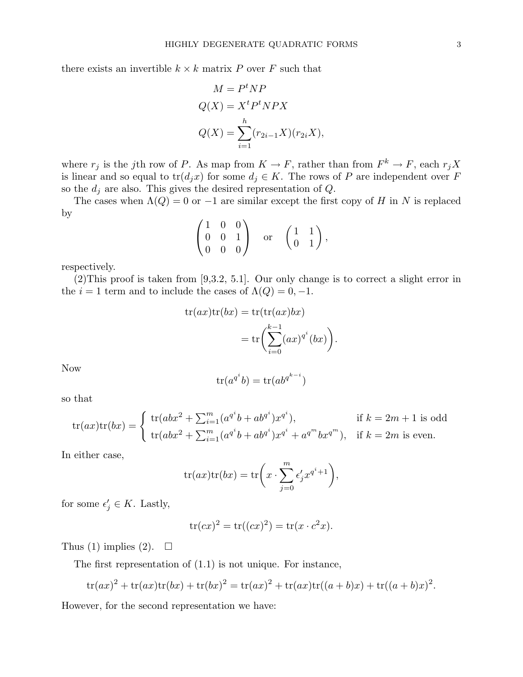there exists an invertible  $k \times k$  matrix P over F such that

$$
M = Pt NP
$$
  
Q(X) = X<sup>t</sup> P<sup>t</sup> NPX  

$$
Q(X) = \sum_{i=1}^{h} (r_{2i-1}X)(r_{2i}X),
$$

where  $r_j$  is the jth row of P. As map from  $K \to F$ , rather than from  $F^k \to F$ , each  $r_j X$ is linear and so equal to  $tr(d_jx)$  for some  $d_j \in K$ . The rows of P are independent over F so the  $d_i$  are also. This gives the desired representation of  $Q$ .

The cases when  $\Lambda(Q) = 0$  or  $-1$  are similar except the first copy of H in N is replaced by  $\overline{\phantom{a}}$  $\mathbf{r}$ 

$$
\begin{pmatrix} 1 & 0 & 0 \\ 0 & 0 & 1 \\ 0 & 0 & 0 \end{pmatrix} \text{ or } \begin{pmatrix} 1 & 1 \\ 0 & 1 \end{pmatrix},
$$

respectively.

(2)This proof is taken from [9,3.2, 5.1]. Our only change is to correct a slight error in the  $i = 1$  term and to include the cases of  $\Lambda(Q) = 0, -1$ .

$$
tr(ax)tr(bx) = tr(tr(ax)bx)
$$
  
= 
$$
tr\left(\sum_{i=0}^{k-1} (ax)^{q^i}(bx)\right).
$$

Now

$$
\operatorname{tr}(a^{q^i}b) = \operatorname{tr}(ab^{q^{k-i}})
$$

so that

$$
\text{tr}(ax)\text{tr}(bx) = \begin{cases} \text{tr}(abx^2 + \sum_{i=1}^m (a^{q^i}b + ab^{q^i})x^{q^i}), & \text{if } k = 2m + 1 \text{ is odd} \\ \text{tr}(abx^2 + \sum_{i=1}^m (a^{q^i}b + ab^{q^i})x^{q^i} + a^{q^m}bx^{q^m}), & \text{if } k = 2m \text{ is even.} \end{cases}
$$

In either case,

$$
tr(ax)tr(bx) = tr\bigg(x \cdot \sum_{j=0}^{m} \epsilon'_j x^{q^i+1}\bigg),
$$

for some  $\epsilon'_j \in K$ . Lastly,

$$
\operatorname{tr}(cx)^2 = \operatorname{tr}((cx)^2) = \operatorname{tr}(x \cdot c^2 x).
$$

Thus (1) implies (2).  $\square$ 

The first representation of (1.1) is not unique. For instance,

$$
\text{tr}(ax)^2 + \text{tr}(ax)\text{tr}(bx) + \text{tr}(bx)^2 = \text{tr}(ax)^2 + \text{tr}(ax)\text{tr}((a+b)x) + \text{tr}((a+b)x)^2.
$$

However, for the second representation we have: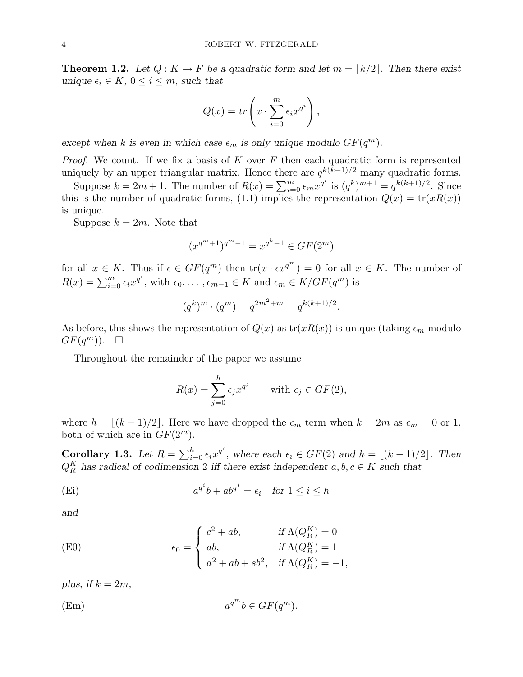**Theorem 1.2.** Let  $Q: K \to F$  be a quadratic form and let  $m = |k/2|$ . Then there exist unique  $\epsilon_i \in K$ ,  $0 \leq i \leq m$ , such that

$$
Q(x) = tr\left(x \cdot \sum_{i=0}^{m} \epsilon_i x^{q^i}\right),\,
$$

except when k is even in which case  $\epsilon_m$  is only unique modulo  $GF(q^m)$ .

*Proof.* We count. If we fix a basis of  $K$  over  $F$  then each quadratic form is represented uniquely by an upper triangular matrix. Hence there are  $q^{k(k+1)/2}$  many quadratic forms.

Suppose  $k = 2m + 1$ . The number of  $R(x) = \sum_{i=0}^{m} \epsilon_m x^{q^i}$  is  $(q^k)^{m+1} = q^{k(k+1)/2}$ . Since this is the number of quadratic forms, (1.1) implies the representation  $Q(x) = \text{tr}(xR(x))$ is unique.

Suppose  $k = 2m$ . Note that

$$
(x^{q^m+1})^{q^m-1} = x^{q^k-1} \in GF(2^m)
$$

for all  $x \in K$ . Thus if  $\epsilon \in GF(q^m)$  then  $\text{tr}(x \cdot \epsilon x^{q^m}) = 0$  for all  $x \in K$ . The number of  $R(x) = \sum_{i=0}^{m} \epsilon_i x^{q^i}$ , with  $\epsilon_0, \ldots, \epsilon_{m-1} \in K$  and  $\epsilon_m \in K/GF(q^m)$  is

$$
(q^k)^m \cdot (q^m) = q^{2m^2 + m} = q^{k(k+1)/2}.
$$

As before, this shows the representation of  $Q(x)$  as  $tr(xR(x))$  is unique (taking  $\epsilon_m$  modulo  $GF(q^m))$ .  $\Box$ 

Throughout the remainder of the paper we assume

$$
R(x) = \sum_{j=0}^{h} \epsilon_j x^{q^j} \quad \text{with } \epsilon_j \in GF(2),
$$

where  $h = |(k - 1)/2|$ . Here we have dropped the  $\epsilon_m$  term when  $k = 2m$  as  $\epsilon_m = 0$  or 1, both of which are in  $GF(2^m)$ .

Corollary 1.3. Let  $R = \sum_{i=1}^{h} R_i$  $_{i=0}^{h} \epsilon_i x^{q^i}$ , where each  $\epsilon_i \in GF(2)$  and  $h = \lfloor (k-1)/2 \rfloor$ . Then  $Q_R^K$  has radical of codimension 2 iff there exist independent  $a, b, c \in K$  such that

(Ei) 
$$
a^{q^i}b + ab^{q^i} = \epsilon_i \quad \text{for } 1 \le i \le h
$$

and

(E0) 
$$
\epsilon_0 = \begin{cases} c^2 + ab, & \text{if } \Lambda(Q_R^K) = 0\\ ab, & \text{if } \Lambda(Q_R^K) = 1\\ a^2 + ab + sb^2, & \text{if } \Lambda(Q_R^K) = -1, \end{cases}
$$

plus, if  $k = 2m$ ,

$$
(Em) \t a^{q^m}b \in GF(q^m).
$$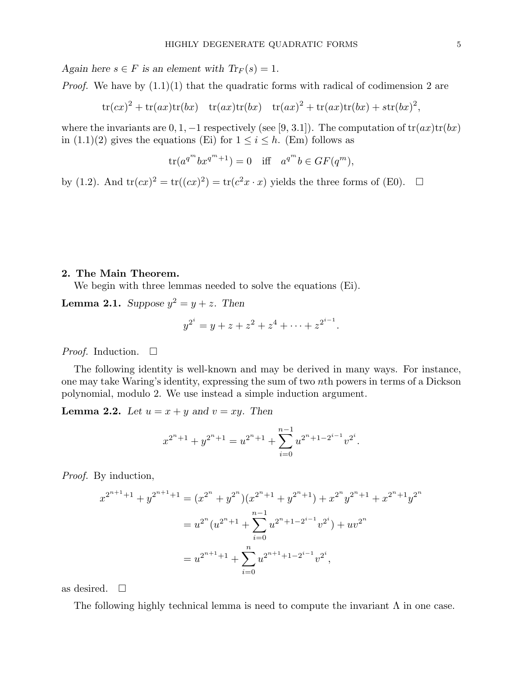Again here  $s \in F$  is an element with  $Tr_F(s) = 1$ .

*Proof.* We have by  $(1.1)(1)$  that the quadratic forms with radical of codimension 2 are

 $\text{tr}(cx)^2 + \text{tr}(ax)\text{tr}(bx) - \text{tr}(ax)\text{tr}(bx) - \text{tr}(ax)^2 + \text{tr}(ax)\text{tr}(bx) + \text{str}(bx)^2,$ 

where the invariants are  $0, 1, -1$  respectively (see [9, 3.1]). The computation of  $tr(ax)tr(bx)$ in  $(1.1)(2)$  gives the equations (Ei) for  $1 \leq i \leq h$ . (Em) follows as

$$
\operatorname{tr}(a^{q^m}bx^{q^m+1}) = 0 \quad \text{iff} \quad a^{q^m}b \in GF(q^m),
$$

by (1.2). And  $tr(cx)^2 = tr((cx)^2) = tr(c^2x \cdot x)$  yields the three forms of (E0).  $\Box$ 

#### 2. The Main Theorem.

We begin with three lemmas needed to solve the equations  $(Ei)$ .

**Lemma 2.1.** Suppose  $y^2 = y + z$ . Then

$$
y^{2^i} = y + z + z^2 + z^4 + \dots + z^{2^{i-1}}.
$$

*Proof.* Induction.  $\Box$ 

The following identity is well-known and may be derived in many ways. For instance, one may take Waring's identity, expressing the sum of two nth powers in terms of a Dickson polynomial, modulo 2. We use instead a simple induction argument.

**Lemma 2.2.** Let  $u = x + y$  and  $v = xy$ . Then

$$
x^{2^n+1} + y^{2^n+1} = u^{2^n+1} + \sum_{i=0}^{n-1} u^{2^n+1-2^{i-1}} v^{2^i}.
$$

Proof. By induction,

$$
x^{2^{n+1}+1} + y^{2^{n+1}+1} = (x^{2^n} + y^{2^n})(x^{2^n+1} + y^{2^n+1}) + x^{2^n}y^{2^n+1} + x^{2^n+1}y^{2^n}
$$
  
= 
$$
u^{2^n}(u^{2^n+1} + \sum_{i=0}^{n-1} u^{2^n+1-2^{i-1}}v^{2^i}) + uv^{2^n}
$$
  
= 
$$
u^{2^{n+1}+1} + \sum_{i=0}^{n} u^{2^{n+1}+1-2^{i-1}}v^{2^i},
$$

as desired.  $\square$ 

The following highly technical lemma is need to compute the invariant  $\Lambda$  in one case.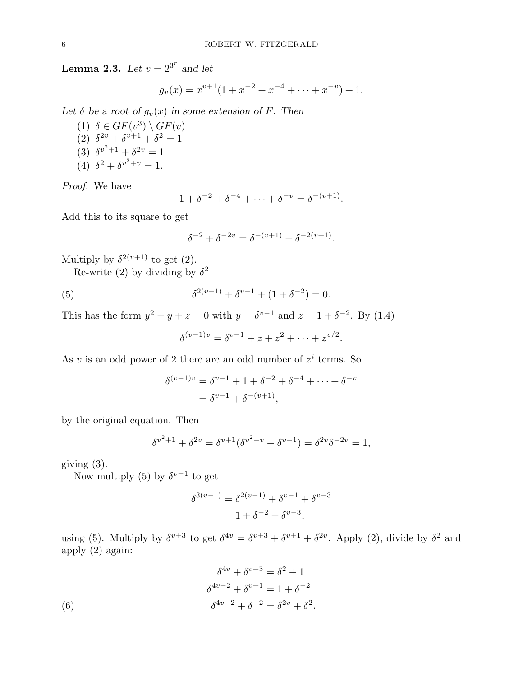**Lemma 2.3.** Let  $v = 2^{3^r}$  and let

$$
g_v(x) = x^{v+1}(1 + x^{-2} + x^{-4} + \dots + x^{-v}) + 1.
$$

Let  $\delta$  be a root of  $g_v(x)$  in some extension of F. Then

(1)  $\delta \in GF(v^3) \setminus GF(v)$ (2)  $\delta^{2v} + \delta^{v+1} + \delta^2 = 1$ (3)  $\delta^{v^2+1} + \delta^{2v} = 1$ (4)  $\delta^2 + \delta^{v^2+v} = 1$ .

Proof. We have

$$
1 + \delta^{-2} + \delta^{-4} + \dots + \delta^{-v} = \delta^{-(v+1)}.
$$

Add this to its square to get

$$
\delta^{-2} + \delta^{-2v} = \delta^{-(v+1)} + \delta^{-2(v+1)}.
$$

Multiply by  $\delta^{2(v+1)}$  to get (2).

Re-write (2) by dividing by  $\delta^2$ 

(5) 
$$
\delta^{2(v-1)} + \delta^{v-1} + (1 + \delta^{-2}) = 0.
$$

This has the form  $y^2 + y + z = 0$  with  $y = \delta^{v-1}$  and  $z = 1 + \delta^{-2}$ . By (1.4)

$$
\delta^{(v-1)v} = \delta^{v-1} + z + z^2 + \dots + z^{v/2}.
$$

As v is an odd power of 2 there are an odd number of  $z^i$  terms. So

$$
\delta^{(v-1)v} = \delta^{v-1} + 1 + \delta^{-2} + \delta^{-4} + \dots + \delta^{-v}
$$
  
=  $\delta^{v-1} + \delta^{-(v+1)}$ ,

by the original equation. Then

$$
\delta^{v^2+1} + \delta^{2v} = \delta^{v+1}(\delta^{v^2-v} + \delta^{v-1}) = \delta^{2v}\delta^{-2v} = 1,
$$

giving  $(3)$ .

Now multiply (5) by  $\delta^{v-1}$  to get

$$
\delta^{3(v-1)} = \delta^{2(v-1)} + \delta^{v-1} + \delta^{v-3}
$$
  
= 1 + \delta^{-2} + \delta^{v-3},

using (5). Multiply by  $\delta^{v+3}$  to get  $\delta^{4v} = \delta^{v+3} + \delta^{v+1} + \delta^{2v}$ . Apply (2), divide by  $\delta^2$  and apply (2) again:

(6)  
\n
$$
\delta^{4v} + \delta^{v+3} = \delta^2 + 1
$$
\n
$$
\delta^{4v-2} + \delta^{v+1} = 1 + \delta^{-2}
$$
\n
$$
\delta^{4v-2} + \delta^{-2} = \delta^{2v} + \delta^2.
$$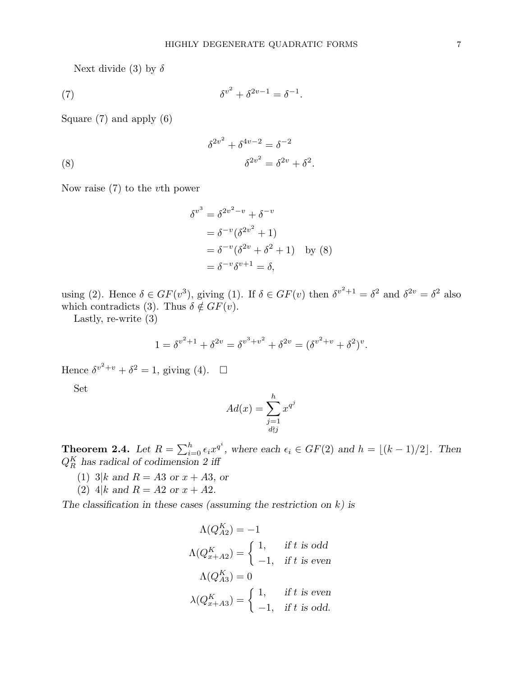Next divide (3) by  $\delta$ 

(7) 
$$
\delta^{v^2} + \delta^{2v-1} = \delta^{-1}.
$$

Square (7) and apply (6)

(8) 
$$
\delta^{2v^2} + \delta^{4v-2} = \delta^{-2}
$$

$$
\delta^{2v^2} = \delta^{2v} + \delta^2.
$$

Now raise (7) to the vth power

$$
\delta^{v^3} = \delta^{2v^2 - v} + \delta^{-v}
$$
  
=  $\delta^{-v} (\delta^{2v^2} + 1)$   
=  $\delta^{-v} (\delta^{2v} + \delta^2 + 1)$  by (8)  
=  $\delta^{-v} \delta^{v+1} = \delta$ ,

using (2). Hence  $\delta \in GF(v^3)$ , giving (1). If  $\delta \in GF(v)$  then  $\delta^{v^2+1} = \delta^2$  and  $\delta^{2v} = \delta^2$  also which contradicts (3). Thus  $\delta \notin GF(v)$ .

Lastly, re-write (3)

$$
1 = \delta^{v^2 + 1} + \delta^{2v} = \delta^{v^3 + v^2} + \delta^{2v} = (\delta^{v^2 + v} + \delta^2)^v.
$$

Hence  $\delta^{v^2+v} + \delta^2 = 1$ , giving (4).  $\Box$ 

Set

$$
Ad(x) = \sum_{\substack{j=1 \ d \nmid j}}^{h} x^{q^j}
$$

**Theorem 2.4.** Let  $R = \sum_{i=1}^{h}$  $_{i=0}^{h} \epsilon_i x^{q^i}$ , where each  $\epsilon_i \in GF(2)$  and  $h = \lfloor (k-1)/2 \rfloor$ . Then  $Q_R^K$  has radical of codimension 2 iff

- (1) 3|k and  $R = A3$  or  $x + A3$ , or
- (2) 4|k and  $R = A2$  or  $x + A2$ .

The classification in these cases (assuming the restriction on  $k$ ) is

$$
\Lambda(Q_{A2}^K) = -1
$$
  
\n
$$
\Lambda(Q_{x+A2}^K) = \begin{cases}\n1, & \text{if } t \text{ is odd} \\
-1, & \text{if } t \text{ is even}\n\end{cases}
$$
  
\n
$$
\Lambda(Q_{A3}^K) = 0
$$
  
\n
$$
\lambda(Q_{x+A3}^K) = \begin{cases}\n1, & \text{if } t \text{ is even} \\
-1, & \text{if } t \text{ is odd.}\n\end{cases}
$$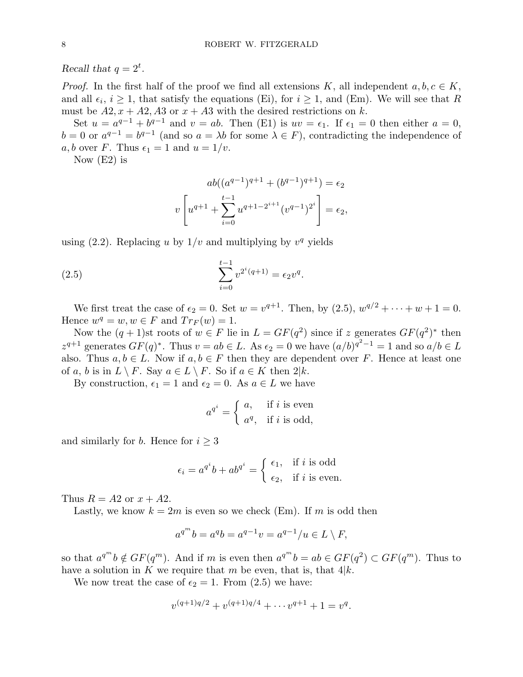Recall that  $q = 2^t$ .

*Proof.* In the first half of the proof we find all extensions K, all independent  $a, b, c \in K$ , and all  $\epsilon_i$ ,  $i \geq 1$ , that satisfy the equations (Ei), for  $i \geq 1$ , and (Em). We will see that R must be  $A2, x + A2, A3$  or  $x + A3$  with the desired restrictions on k.

Set  $u = a^{q-1} + b^{q-1}$  and  $v = ab$ . Then (E1) is  $uv = \epsilon_1$ . If  $\epsilon_1 = 0$  then either  $a = 0$ ,  $b = 0$  or  $a^{q-1} = b^{q-1}$  (and so  $a = \lambda b$  for some  $\lambda \in F$ ), contradicting the independence of a, b over F. Thus  $\epsilon_1 = 1$  and  $u = 1/v$ .

Now  $(E2)$  is

$$
ab((a^{q-1})^{q+1} + (b^{q-1})^{q+1}) = \epsilon_2
$$

$$
v \left[ u^{q+1} + \sum_{i=0}^{t-1} u^{q+1-2^{i+1}} (v^{q-1})^{2^i} \right] = \epsilon_2,
$$

using  $(2.2)$ . Replacing u by  $1/v$  and multiplying by  $v<sup>q</sup>$  yields

(2.5) 
$$
\sum_{i=0}^{t-1} v^{2^i(q+1)} = \epsilon_2 v^q.
$$

We first treat the case of  $\epsilon_2 = 0$ . Set  $w = v^{q+1}$ . Then, by  $(2.5)$ ,  $w^{q/2} + \cdots + w + 1 = 0$ . Hence  $w^q = w, w \in F$  and  $Tr_F(w) = 1$ .

Now the  $(q + 1)$ st roots of  $w \in F$  lie in  $L = GF(q^2)$  since if z generates  $GF(q^2)^*$  then  $z^{q+1}$  generates  $GF(q)^*$ . Thus  $v = ab \in L$ . As  $\epsilon_2 = 0$  we have  $(a/b)^{q^2-1} = 1$  and so  $a/b \in L$ also. Thus  $a, b \in L$ . Now if  $a, b \in F$  then they are dependent over F. Hence at least one of a, b is in  $L \setminus F$ . Say  $a \in L \setminus F$ . So if  $a \in K$  then  $2|k$ .

By construction,  $\epsilon_1 = 1$  and  $\epsilon_2 = 0$ . As  $a \in L$  we have

$$
a^{q^i} = \begin{cases} a, & \text{if } i \text{ is even} \\ a^q, & \text{if } i \text{ is odd,} \end{cases}
$$

and similarly for *b*. Hence for  $i \geq 3$ 

$$
\epsilon_i = a^{q^i}b + ab^{q^i} = \begin{cases} \epsilon_1, & \text{if } i \text{ is odd} \\ \epsilon_2, & \text{if } i \text{ is even.} \end{cases}
$$

Thus  $R = A2$  or  $x + A2$ .

Lastly, we know  $k = 2m$  is even so we check (Em). If m is odd then

$$
a^{q^m}b=a^qb=a^{q-1}v=a^{q-1}/u\in L\setminus F,
$$

so that  $a^{q^m}b \notin GF(q^m)$ . And if m is even then  $a^{q^m}b = ab \in GF(q^2) \subset GF(q^m)$ . Thus to have a solution in K we require that m be even, that is, that  $4|k$ .

We now treat the case of  $\epsilon_2 = 1$ . From (2.5) we have:

$$
v^{(q+1)q/2} + v^{(q+1)q/4} + \cdots v^{q+1} + 1 = v^q.
$$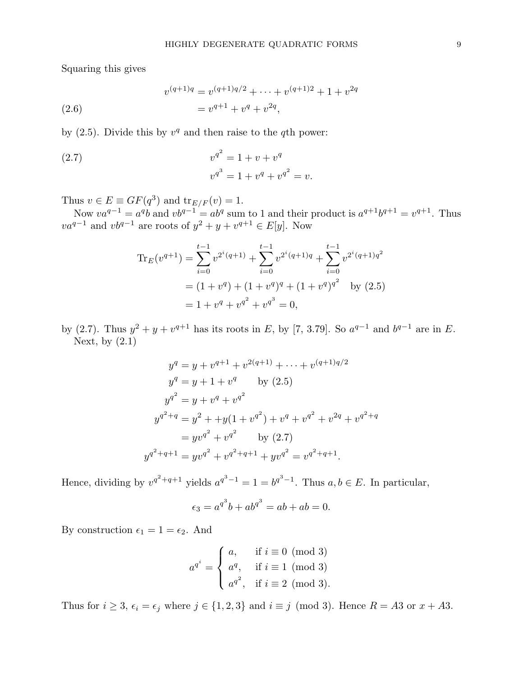Squaring this gives

(2.6) 
$$
v^{(q+1)q} = v^{(q+1)q/2} + \dots + v^{(q+1)2} + 1 + v^{2q}
$$

$$
= v^{q+1} + v^q + v^{2q},
$$

by  $(2.5)$ . Divide this by  $v<sup>q</sup>$  and then raise to the qth power:

(2.7) 
$$
v^{q^2} = 1 + v + v^q
$$

$$
v^{q^3} = 1 + v^q + v^{q^2} = v.
$$

Thus  $v \in E \equiv GF(q^3)$  and  ${\rm tr}_{E/F}(v) = 1$ .

Now  $va^{q-1} = a^q b$  and  $vb^{q-1} = ab^q$  sum to 1 and their product is  $a^{q+1}b^{q+1} = v^{q+1}$ . Thus  $va^{q-1}$  and  $vb^{q-1}$  are roots of  $y^2 + y + v^{q+1} \in E[y]$ . Now

$$
\begin{aligned} \text{Tr}_E(v^{q+1}) &= \sum_{i=0}^{t-1} v^{2^i(q+1)} + \sum_{i=0}^{t-1} v^{2^i(q+1)q} + \sum_{i=0}^{t-1} v^{2^i(q+1)q^2} \\ &= (1+v^q) + (1+v^q)^q + (1+v^q)^{q^2} \quad \text{by (2.5)} \\ &= 1 + v^q + v^{q^2} + v^{q^3} = 0, \end{aligned}
$$

by (2.7). Thus  $y^2 + y + v^{q+1}$  has its roots in E, by [7, 3.79]. So  $a^{q-1}$  and  $b^{q-1}$  are in E. Next, by  $(2.1)$ 

$$
y^{q} = y + v^{q+1} + v^{2(q+1)} + \dots + v^{(q+1)q/2}
$$
  
\n
$$
y^{q} = y + 1 + v^{q} \qquad \text{by (2.5)}
$$
  
\n
$$
y^{q^{2}} = y + v^{q} + v^{q^{2}}
$$
  
\n
$$
y^{q^{2+q}} = y^{2} + y(1 + v^{q^{2}}) + v^{q} + v^{q^{2}} + v^{2q} + v^{q^{2+q}}
$$
  
\n
$$
= yv^{q^{2}} + v^{q^{2}} \qquad \text{by (2.7)}
$$
  
\n
$$
y^{q^{2+q+1}} = yv^{q^{2}} + v^{q^{2+q+1}} + yv^{q^{2}} = v^{q^{2+q+1}}.
$$

Hence, dividing by  $v^{q^2+q+1}$  yields  $a^{q^3-1} = 1 = b^{q^3-1}$ . Thus  $a, b \in E$ . In particular,

$$
\epsilon_3 = a^{q^3}b + ab^{q^3} = ab + ab = 0.
$$

By construction  $\epsilon_1 = 1 = \epsilon_2$ . And

$$
a^{q^i} = \begin{cases} a, & \text{if } i \equiv 0 \pmod{3} \\ a^q, & \text{if } i \equiv 1 \pmod{3} \\ a^{q^2}, & \text{if } i \equiv 2 \pmod{3}. \end{cases}
$$

Thus for  $i \geq 3$ ,  $\epsilon_i = \epsilon_j$  where  $j \in \{1, 2, 3\}$  and  $i \equiv j \pmod{3}$ . Hence  $R = A3$  or  $x + A3$ .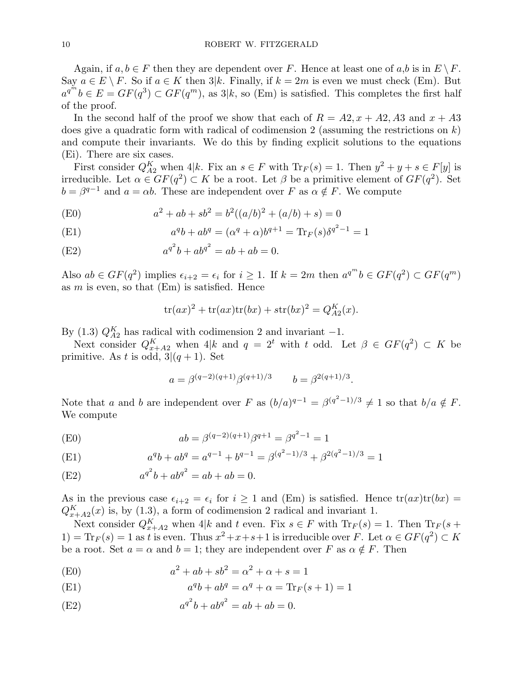Again, if  $a, b \in F$  then they are dependent over F. Hence at least one of  $a, b$  is in  $E \setminus F$ . Say  $a \in E \setminus F$ . So if  $a \in K$  then  $3|k$ . Finally, if  $k = 2m$  is even we must check (Em). But  $a^{q^m}b \in E = GF(q^3) \subset GF(q^m)$ , as  $3|k$ , so (Em) is satisfied. This completes the first half of the proof.

In the second half of the proof we show that each of  $R = A2, x + A2, A3$  and  $x + A3$ does give a quadratic form with radical of codimension 2 (assuming the restrictions on  $k$ ) and compute their invariants. We do this by finding explicit solutions to the equations (Ei). There are six cases.

First consider  $Q_{A2}^K$  when  $4|k$ . Fix an  $s \in F$  with  $\text{Tr}_F(s) = 1$ . Then  $y^2 + y + s \in F[y]$  is irreducible. Let  $\alpha \in GF(q^2) \subset K$  be a root. Let  $\beta$  be a primitive element of  $GF(q^2)$ . Set  $b = \beta^{q-1}$  and  $a = \alpha b$ . These are independent over F as  $\alpha \notin F$ . We compute

(E0) 
$$
a^2 + ab + sb^2 = b^2((a/b)^2 + (a/b) + s) = 0
$$

(E1) 
$$
a^{q}b + ab^{q} = (\alpha^{q} + \alpha)b^{q+1} = \text{Tr}_{F}(s)\delta^{q^{2}-1} = 1
$$

(E2) 
$$
a^{q^2}b + ab^{q^2} = ab + ab = 0.
$$

Also  $ab \in GF(q^2)$  implies  $\epsilon_{i+2} = \epsilon_i$  for  $i \geq 1$ . If  $k = 2m$  then  $a^{q^m}b \in GF(q^2) \subset GF(q^m)$ as  $m$  is even, so that  $(Em)$  is satisfied. Hence

$$
tr(ax)^{2} + tr(ax)tr(bx) + str(bx)^{2} = Q_{A2}^{K}(x).
$$

By (1.3)  $Q_{A2}^{K}$  has radical with codimension 2 and invariant -1.

Next consider  $Q_{x+A2}^K$  when  $4|k$  and  $q = 2^t$  with t odd. Let  $\beta \in GF(q^2) \subset K$  be primitive. As t is odd,  $3|(q+1)$ . Set

$$
a = \beta^{(q-2)(q+1)}\beta^{(q+1)/3}
$$
  $b = \beta^{2(q+1)/3}$ .

Note that a and b are independent over F as  $(b/a)^{q-1} = \beta^{(q^2-1)/3} \neq 1$  so that  $b/a \notin F$ . We compute

(E0) 
$$
ab = \beta^{(q-2)(q+1)}\beta^{q+1} = \beta^{q^2-1} = 1
$$

(E1) 
$$
a^q b + a b^q = a^{q-1} + b^{q-1} = \beta^{(q^2-1)/3} + \beta^{2(q^2-1)/3} = 1
$$

(E2) 
$$
a^{q^2}b + ab^{q^2} = ab + ab = 0.
$$

As in the previous case  $\epsilon_{i+2} = \epsilon_i$  for  $i \geq 1$  and (Em) is satisfied. Hence  $tr(ax)tr(bx) =$  $Q_{x+A2}^{K}(x)$  is, by (1.3), a form of codimension 2 radical and invariant 1.

Next consider  $Q_{x+A2}^K$  when 4|k and t even. Fix  $s \in F$  with  $\text{Tr}_F(s) = 1$ . Then  $\text{Tr}_F(s +$  $1) = \text{Tr}_F(s) = 1$  as t is even. Thus  $x^2 + x + s + 1$  is irreducible over F. Let  $\alpha \in GF(q^2) \subset K$ be a root. Set  $a = \alpha$  and  $b = 1$ ; they are independent over F as  $\alpha \notin F$ . Then

(E0) 
$$
a^2 + ab + sb^2 = \alpha^2 + \alpha + s = 1
$$

(E1) 
$$
a^q b + ab^q = \alpha^q + \alpha = \text{Tr}_F(s+1) = 1
$$

(E2) 
$$
a^{q^2}b + ab^{q^2} = ab + ab = 0.
$$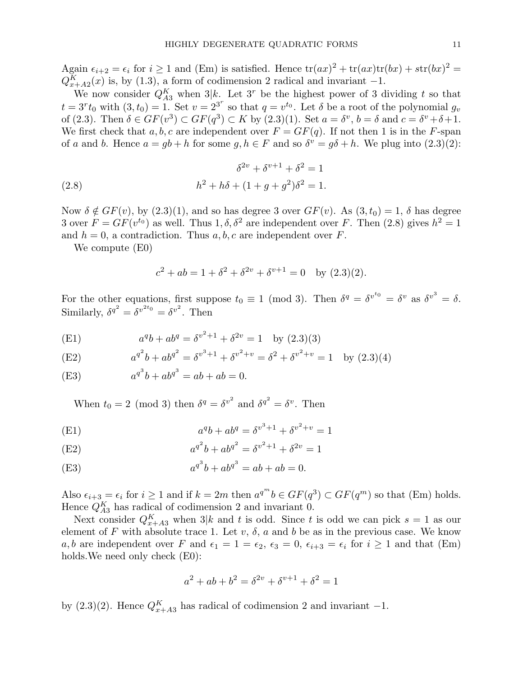Again  $\epsilon_{i+2} = \epsilon_i$  for  $i \ge 1$  and (Em) is satisfied. Hence  $\text{tr}(ax)^2 + \text{tr}(ax)\text{tr}(bx) + \text{str}(bx)^2 =$  $Q_{x+A2}^{K}(x)$  is, by (1.3), a form of codimension 2 radical and invariant -1.

We now consider  $Q_{A3}^K$  when  $3|k$ . Let  $3^r$  be the highest power of 3 dividing t so that  $t = 3<sup>r</sup> t<sub>0</sub>$  with  $(3, t<sub>0</sub>) = 1$ . Set  $v = 2<sup>3<sup>r</sup></sup>$  so that  $q = v<sup>t<sub>0</sub></sup>$ . Let  $\delta$  be a root of the polynomial  $g<sub>v</sub>$ of (2.3). Then  $\delta \in GF(v^3) \subset GF(q^3) \subset K$  by (2.3)(1). Set  $a = \delta^v$ ,  $b = \delta$  and  $c = \delta^v + \delta + 1$ . We first check that a, b, c are independent over  $F = GF(q)$ . If not then 1 is in the F-span of a and b. Hence  $a = gb + h$  for some  $g, h \in F$  and so  $\delta^v = g\delta + h$ . We plug into  $(2.3)(2)$ :

(2.8) 
$$
\delta^{2v} + \delta^{v+1} + \delta^2 = 1
$$

$$
h^2 + h\delta + (1 + g + g^2)\delta^2 = 1.
$$

Now  $\delta \notin GF(v)$ , by  $(2.3)(1)$ , and so has degree 3 over  $GF(v)$ . As  $(3, t_0) = 1$ ,  $\delta$  has degree 3 over  $F = GF(v^{t_0})$  as well. Thus  $1, \delta, \delta^2$  are independent over F. Then (2.8) gives  $h^2 = 1$ and  $h = 0$ , a contradiction. Thus a, b, c are independent over F.

We compute (E0)

$$
c^{2} + ab = 1 + \delta^{2} + \delta^{2v} + \delta^{v+1} = 0 \text{ by } (2.3)(2).
$$

For the other equations, first suppose  $t_0 \equiv 1 \pmod{3}$ . Then  $\delta^q = \delta^{v^{t_0}} = \delta^v$  as  $\delta^{v^3} = \delta$ . Similarly,  $\delta^{q^2} = \delta^{v^{2t_0}} = \delta^{v^2}$ . Then

(E1) 
$$
a^q b + ab^q = \delta^{v^2+1} + \delta^{2v} = 1 \text{ by } (2.3)(3)
$$

(E2) 
$$
a^{q^2}b + ab^{q^2} = \delta^{v^3+1} + \delta^{v^2+v} = \delta^2 + \delta^{v^2+v} = 1 \text{ by } (2.3)(4)
$$

(E3) 
$$
a^{q^3}b + ab^{q^3} = ab + ab = 0.
$$

When  $t_0 = 2 \pmod{3}$  then  $\delta^q = {\delta^v}^2$  and  ${\delta^q}^2 = {\delta^v}$ . Then

(E1) 
$$
a^q b + a b^q = \delta^{v^3 + 1} + \delta^{v^2 + v} = 1
$$

(E2) 
$$
a^{q^2}b + ab^{q^2} = \delta^{v^2+1} + \delta^{2v} = 1
$$

(E3) 
$$
a^{q^3}b + ab^{q^3} = ab + ab = 0.
$$

Also  $\epsilon_{i+3} = \epsilon_i$  for  $i \ge 1$  and if  $k = 2m$  then  $a^{q^m}b \in GF(q^3) \subset GF(q^m)$  so that (Em) holds. Hence  $Q_{A3}^K$  has radical of codimension 2 and invariant 0.

Next consider  $Q_{x+A3}^K$  when 3|k and t is odd. Since t is odd we can pick  $s=1$  as our element of F with absolute trace 1. Let  $v, \delta, a$  and b be as in the previous case. We know a, b are independent over F and  $\epsilon_1 = 1 = \epsilon_2$ ,  $\epsilon_3 = 0$ ,  $\epsilon_{i+3} = \epsilon_i$  for  $i \ge 1$  and that (Em) holds. We need only check  $(E0)$ :

$$
a^{2} + ab + b^{2} = \delta^{2v} + \delta^{v+1} + \delta^{2} = 1
$$

by (2.3)(2). Hence  $Q_{x+A3}^K$  has radical of codimension 2 and invariant -1.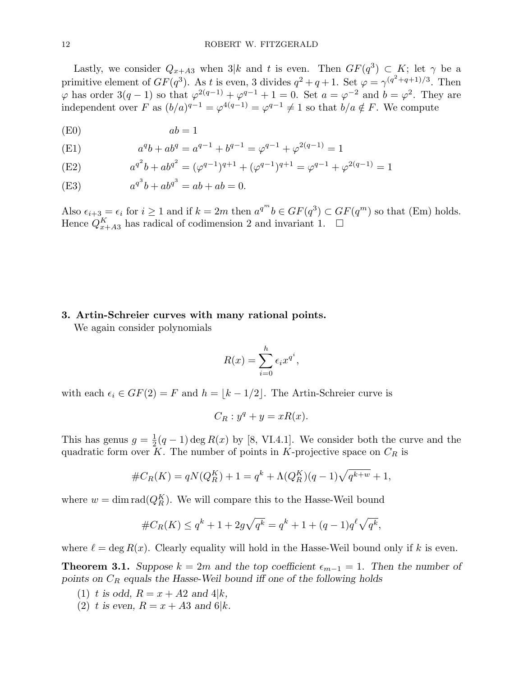Lastly, we consider  $Q_{x+A3}$  when  $3|k$  and t is even. Then  $GF(q^3) \subset K$ ; let  $\gamma$  be a primitive element of  $GF(q^3)$ . As t is even, 3 divides  $q^2 + q + 1$ . Set  $\varphi = \gamma^{(q^2+q+1)/3}$ . Then  $\varphi$  has order  $3(q-1)$  so that  $\varphi^{2(q-1)} + \varphi^{q-1} + 1 = 0$ . Set  $a = \varphi^{-2}$  and  $b = \varphi^2$ . They are independent over F as  $(b/a)^{q-1} = \varphi^{4(q-1)} = \varphi^{q-1} \neq 1$  so that  $b/a \notin F$ . We compute

$$
(E0) \t ab = 1
$$

(E1) 
$$
a^{q}b + ab^{q} = a^{q-1} + b^{q-1} = \varphi^{q-1} + \varphi^{2(q-1)} = 1
$$

(E2) 
$$
a^{q^2}b + ab^{q^2} = (\varphi^{q-1})^{q+1} + (\varphi^{q-1})^{q+1} = \varphi^{q-1} + \varphi^{2(q-1)} = 1
$$

(E3) 
$$
a^{q^3}b + ab^{q^3} = ab + ab = 0.
$$

Also  $\epsilon_{i+3} = \epsilon_i$  for  $i \ge 1$  and if  $k = 2m$  then  $a^{q^m}b \in GF(q^3) \subset GF(q^m)$  so that (Em) holds. Hence  $Q_{x+A3}^K$  has radical of codimension 2 and invariant 1.  $\Box$ 

### 3. Artin-Schreier curves with many rational points.

We again consider polynomials

$$
R(x) = \sum_{i=0}^{h} \epsilon_i x^{q^i},
$$

with each  $\epsilon_i \in GF(2) = F$  and  $h = |k - 1/2|$ . The Artin-Schreier curve is

$$
C_R: y^q + y = xR(x).
$$

This has genus  $g = \frac{1}{2}$  $\frac{1}{2}(q-1)\deg R(x)$  by [8, VI.4.1]. We consider both the curve and the quadratic form over K. The number of points in K-projective space on  $C_R$  is

$$
#C_R(K) = qN(Q_R^K) + 1 = q^k + \Lambda(Q_R^K)(q-1)\sqrt{q^{k+w}} + 1,
$$

where  $w = \dim \text{rad}(Q_K^K)$ . We will compare this to the Hasse-Weil bound

$$
#C_R(K) \le q^k + 1 + 2g\sqrt{q^k} = q^k + 1 + (q - 1)q^{\ell}\sqrt{q^k},
$$

where  $\ell = \deg R(x)$ . Clearly equality will hold in the Hasse-Weil bound only if k is even.

**Theorem 3.1.** Suppose  $k = 2m$  and the top coefficient  $\epsilon_{m-1} = 1$ . Then the number of points on  $C_R$  equals the Hasse-Weil bound iff one of the following holds

- (1) t is odd,  $R = x + A2$  and  $4|k$ ,
- (2) t is even,  $R = x + A3$  and 6|k.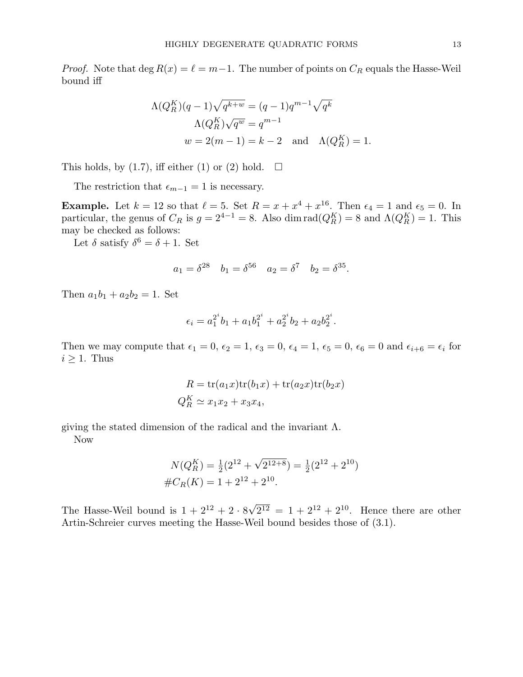*Proof.* Note that deg  $R(x) = \ell = m-1$ . The number of points on  $C_R$  equals the Hasse-Weil bound iff

$$
\Lambda(Q_R^K)(q-1)\sqrt{q^{k+w}} = (q-1)q^{m-1}\sqrt{q^k}
$$

$$
\Lambda(Q_R^K)\sqrt{q^w} = q^{m-1}
$$

$$
w = 2(m-1) = k-2 \text{ and } \Lambda(Q_R^K) = 1.
$$

This holds, by (1.7), iff either (1) or (2) hold.  $\Box$ 

The restriction that  $\epsilon_{m-1} = 1$  is necessary.

**Example.** Let  $k = 12$  so that  $\ell = 5$ . Set  $R = x + x^4 + x^{16}$ . Then  $\epsilon_4 = 1$  and  $\epsilon_5 = 0$ . In particular, the genus of  $C_R$  is  $g = 2^{4-1} = 8$ . Also dim rad $(Q_R^K) = 8$  and  $\Lambda(Q_R^K) = 1$ . This may be checked as follows:

Let  $\delta$  satisfy  $\delta^6 = \delta + 1$ . Set

$$
a_1 = \delta^{28}
$$
  $b_1 = \delta^{56}$   $a_2 = \delta^7$   $b_2 = \delta^{35}$ .

Then  $a_1b_1 + a_2b_2 = 1$ . Set

$$
\epsilon_i = a_1^{2^i}b_1 + a_1b_1^{2^i} + a_2^{2^i}b_2 + a_2b_2^{2^i}.
$$

Then we may compute that  $\epsilon_1 = 0, \epsilon_2 = 1, \epsilon_3 = 0, \epsilon_4 = 1, \epsilon_5 = 0, \epsilon_6 = 0$  and  $\epsilon_{i+6} = \epsilon_i$  for  $i \geq 1$ . Thus

$$
R = \text{tr}(a_1x)\text{tr}(b_1x) + \text{tr}(a_2x)\text{tr}(b_2x)
$$
  

$$
Q_R^K \simeq x_1x_2 + x_3x_4,
$$

giving the stated dimension of the radical and the invariant  $\Lambda$ .

Now

$$
N(Q_R^K) = \frac{1}{2}(2^{12} + \sqrt{2^{12+8}}) = \frac{1}{2}(2^{12} + 2^{10})
$$
  

$$
\#C_R(K) = 1 + 2^{12} + 2^{10}.
$$

The Hasse-Weil bound is  $1 + 2^{12} + 2 \cdot 8$ √  $\overline{2^{12}} = 1 + 2^{12} + 2^{10}$ . Hence there are other Artin-Schreier curves meeting the Hasse-Weil bound besides those of (3.1).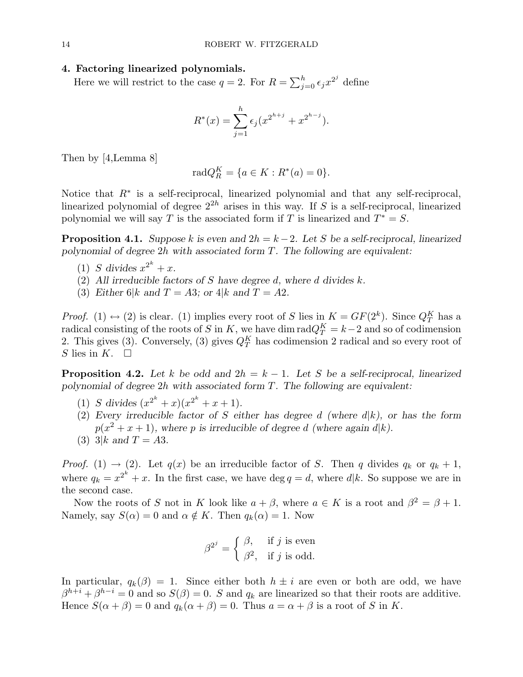#### 4. Factoring linearized polynomials.

Here we will restrict to the case  $q = 2$ . For  $R = \sum_{i=1}^{h}$  $_{j=0}^h \epsilon_j x^{2^j}$  define

$$
R^*(x) = \sum_{j=1}^h \epsilon_j (x^{2^{h+j}} + x^{2^{h-j}}).
$$

Then by [4,Lemma 8]

$$
radQ_R^K = \{ a \in K : R^*(a) = 0 \}.
$$

Notice that  $R^*$  is a self-reciprocal, linearized polynomial and that any self-reciprocal, linearized polynomial of degree  $2^{2h}$  arises in this way. If S is a self-reciprocal, linearized polynomial we will say T is the associated form if T is linearized and  $T^* = S$ .

**Proposition 4.1.** Suppose k is even and  $2h = k - 2$ . Let S be a self-reciprocal, linearized polynomial of degree 2h with associated form T. The following are equivalent:

- (1) S divides  $x^{2^k} + x$ .
- (2) All irreducible factors of S have degree d, where d divides  $k$ .
- (3) Either 6|k and  $T = A3$ ; or 4|k and  $T = A2$ .

*Proof.* (1)  $\leftrightarrow$  (2) is clear. (1) implies every root of S lies in  $K = GF(2^k)$ . Since  $Q_T^K$  has a radical consisting of the roots of S in K, we have dim  $\text{rad}Q_T^K = k-2$  and so of codimension 2. This gives (3). Conversely, (3) gives  $Q_T^K$  has codimension 2 radical and so every root of S lies in K.  $\square$ 

**Proposition 4.2.** Let k be odd and  $2h = k - 1$ . Let S be a self-reciprocal, linearized polynomial of degree 2h with associated form T. The following are equivalent:

- (1) S divides  $(x^{2^k} + x)(x^{2^k} + x + 1)$ .
- (2) Every irreducible factor of S either has degree d (where  $d(k)$ , or has the form  $p(x^2 + x + 1)$ , where p is irreducible of degree d (where again d|k).
- (3) 3|k and  $T = A3$ .

*Proof.* (1)  $\rightarrow$  (2). Let  $q(x)$  be an irreducible factor of S. Then q divides  $q_k$  or  $q_k + 1$ , where  $q_k = x^{2^k} + x$ . In the first case, we have  $\deg q = d$ , where  $d|k$ . So suppose we are in the second case.

Now the roots of S not in K look like  $a + \beta$ , where  $a \in K$  is a root and  $\beta^2 = \beta + 1$ . Namely, say  $S(\alpha) = 0$  and  $\alpha \notin K$ . Then  $q_k(\alpha) = 1$ . Now

$$
\beta^{2^j} = \begin{cases} \beta, & \text{if } j \text{ is even} \\ \beta^2, & \text{if } j \text{ is odd.} \end{cases}
$$

In particular,  $q_k(\beta) = 1$ . Since either both  $h \pm i$  are even or both are odd, we have  $\beta^{h+i} + \beta^{h-i} = 0$  and so  $S(\beta) = 0$ . S and  $q_k$  are linearized so that their roots are additive. Hence  $S(\alpha + \beta) = 0$  and  $q_k(\alpha + \beta) = 0$ . Thus  $a = \alpha + \beta$  is a root of S in K.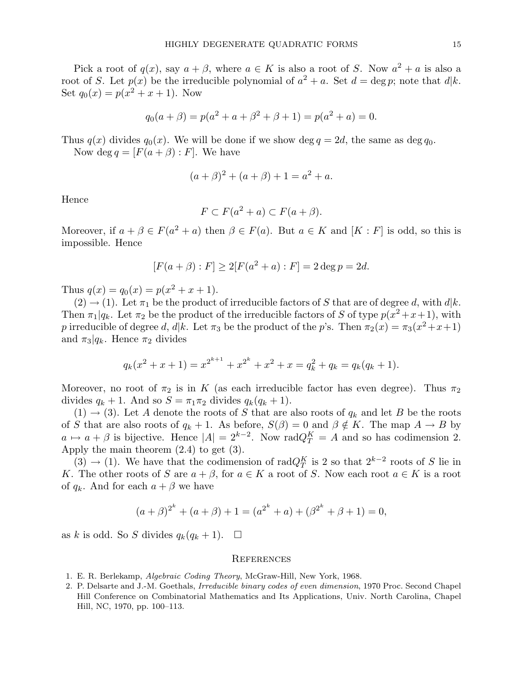Pick a root of  $q(x)$ , say  $a + \beta$ , where  $a \in K$  is also a root of S. Now  $a^2 + a$  is also a root of S. Let  $p(x)$  be the irreducible polynomial of  $a^2 + a$ . Set  $d = \deg p$ ; note that  $d|k$ . Set  $q_0(x) = p(x^2 + x + 1)$ . Now

$$
q_0(a + \beta) = p(a^2 + a + \beta^2 + \beta + 1) = p(a^2 + a) = 0.
$$

Thus  $q(x)$  divides  $q_0(x)$ . We will be done if we show deg  $q = 2d$ , the same as deg  $q_0$ . Now deg  $q = [F(a + \beta) : F]$ . We have

$$
(a + \beta)^2 + (a + \beta) + 1 = a^2 + a.
$$

Hence

$$
F \subset F(a^2 + a) \subset F(a + \beta).
$$

Moreover, if  $a + \beta \in F(a^2 + a)$  then  $\beta \in F(a)$ . But  $a \in K$  and  $[K : F]$  is odd, so this is impossible. Hence

$$
[F(a + \beta) : F] \ge 2[F(a^2 + a) : F] = 2 \deg p = 2d.
$$

Thus  $q(x) = q_0(x) = p(x^2 + x + 1)$ .

 $(2) \rightarrow (1)$ . Let  $\pi_1$  be the product of irreducible factors of S that are of degree d, with  $d|k$ . Then  $\pi_1|q_k$ . Let  $\pi_2$  be the product of the irreducible factors of S of type  $p(x^2+x+1)$ , with p irreducible of degree d, d|k. Let  $\pi_3$  be the product of the p's. Then  $\pi_2(x) = \pi_3(x^2 + x + 1)$ and  $\pi_3|q_k$ . Hence  $\pi_2$  divides

$$
q_k(x^2 + x + 1) = x^{2^{k+1}} + x^{2^k} + x^2 + x = q_k^2 + q_k = q_k(q_k + 1).
$$

Moreover, no root of  $\pi_2$  is in K (as each irreducible factor has even degree). Thus  $\pi_2$ divides  $q_k + 1$ . And so  $S = \pi_1 \pi_2$  divides  $q_k(q_k + 1)$ .

 $(1) \rightarrow (3)$ . Let A denote the roots of S that are also roots of  $q_k$  and let B be the roots of S that are also roots of  $q_k + 1$ . As before,  $S(\beta) = 0$  and  $\beta \notin K$ . The map  $A \to B$  by  $a \mapsto a + \beta$  is bijective. Hence  $|A| = 2^{k-2}$ . Now rad $Q_T^K = A$  and so has codimension 2. Apply the main theorem (2.4) to get (3).

(3)  $\rightarrow$  (1). We have that the codimension of rad $Q_T^K$  is 2 so that  $2^{k-2}$  roots of S lie in K. The other roots of S are  $a + \beta$ , for  $a \in K$  a root of S. Now each root  $a \in K$  is a root of  $q_k$ . And for each  $a + \beta$  we have

$$
(a + \beta)^{2^k} + (a + \beta) + 1 = (a^{2^k} + a) + (\beta^{2^k} + \beta + 1) = 0,
$$

as k is odd. So S divides  $q_k(q_k + 1)$ .  $\Box$ 

#### **REFERENCES**

- 1. E. R. Berlekamp, Algebraic Coding Theory, McGraw-Hill, New York, 1968.
- 2. P. Delsarte and J.-M. Goethals, *Irreducible binary codes of even dimension*, 1970 Proc. Second Chapel Hill Conference on Combinatorial Mathematics and Its Applications, Univ. North Carolina, Chapel Hill, NC, 1970, pp. 100–113.